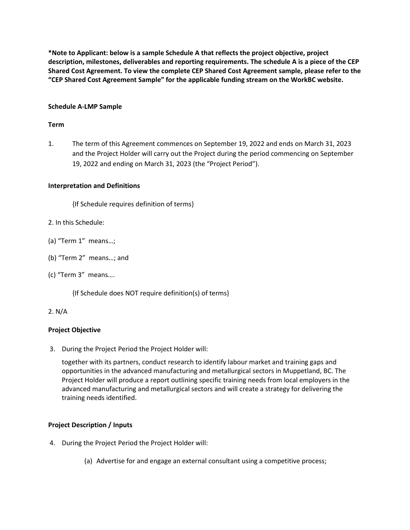**\*Note to Applicant: below is a sample Schedule A that reflects the project objective, project description, milestones, deliverables and reporting requirements. The schedule A is a piece of the CEP Shared Cost Agreement. To view the complete CEP Shared Cost Agreement sample, please refer to the "CEP Shared Cost Agreement Sample" for the applicable funding stream on the WorkBC website.**

## **Schedule A-LMP Sample**

# **Term**

1. The term of this Agreement commences on September 19, 2022 and ends on March 31, 2023 and the Project Holder will carry out the Project during the period commencing on September 19, 2022 and ending on March 31, 2023 (the "Project Period").

# **Interpretation and Definitions**

{If Schedule requires definition of terms}

- 2. In this Schedule:
- (a) "Term 1" means…;
- (b) "Term 2" means…; and
- (c) "Term 3" means….

{If Schedule does NOT require definition(s) of terms}

### 2. N/A

### **Project Objective**

3. During the Project Period the Project Holder will:

together with its partners, conduct research to identify labour market and training gaps and opportunities in the advanced manufacturing and metallurgical sectors in Muppetland, BC. The Project Holder will produce a report outlining specific training needs from local employers in the advanced manufacturing and metallurgical sectors and will create a strategy for delivering the training needs identified.

### **Project Description / Inputs**

- 4. During the Project Period the Project Holder will:
	- (a) Advertise for and engage an external consultant using a competitive process;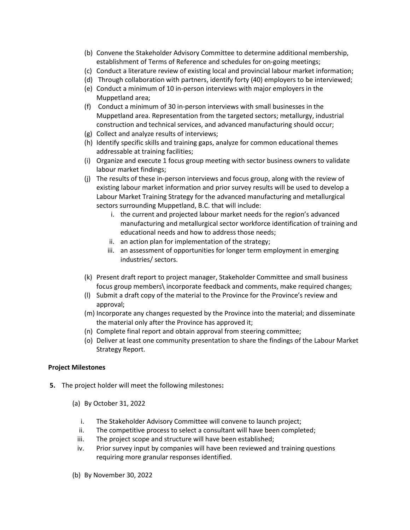- (b) Convene the Stakeholder Advisory Committee to determine additional membership, establishment of Terms of Reference and schedules for on-going meetings;
- (c) Conduct a literature review of existing local and provincial labour market information;
- (d) Through collaboration with partners, identify forty (40) employers to be interviewed;
- (e) Conduct a minimum of 10 in-person interviews with major employers in the Muppetland area;
- (f) Conduct a minimum of 30 in-person interviews with small businesses in the Muppetland area. Representation from the targeted sectors; metallurgy, industrial construction and technical services, and advanced manufacturing should occur;
- (g) Collect and analyze results of interviews;
- (h) Identify specific skills and training gaps, analyze for common educational themes addressable at training facilities;
- (i) Organize and execute 1 focus group meeting with sector business owners to validate labour market findings;
- (j) The results of these in-person interviews and focus group, along with the review of existing labour market information and prior survey results will be used to develop a Labour Market Training Strategy for the advanced manufacturing and metallurgical sectors surrounding Muppetland, B.C. that will include:
	- i. the current and projected labour market needs for the region's advanced manufacturing and metallurgical sector workforce identification of training and educational needs and how to address those needs;
	- ii. an action plan for implementation of the strategy;
	- iii. an assessment of opportunities for longer term employment in emerging industries/ sectors.
- (k) Present draft report to project manager, Stakeholder Committee and small business focus group members\ incorporate feedback and comments, make required changes;
- (l) Submit a draft copy of the material to the Province for the Province's review and approval;
- (m) Incorporate any changes requested by the Province into the material; and disseminate the material only after the Province has approved it;
- (n) Complete final report and obtain approval from steering committee;
- (o) Deliver at least one community presentation to share the findings of the Labour Market Strategy Report.

### **Project Milestones**

- **5.** The project holder will meet the following milestones**:**
	- (a) By October 31, 2022
		- i. The Stakeholder Advisory Committee will convene to launch project;
		- ii. The competitive process to select a consultant will have been completed;
		- iii. The project scope and structure will have been established;
		- iv. Prior survey input by companies will have been reviewed and training questions requiring more granular responses identified.
	- (b) By November 30, 2022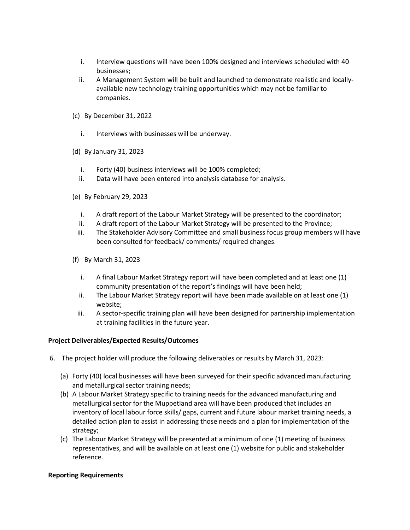- i. Interview questions will have been 100% designed and interviews scheduled with 40 businesses;
- ii. A Management System will be built and launched to demonstrate realistic and locallyavailable new technology training opportunities which may not be familiar to companies.
- (c) By December 31, 2022
	- i. Interviews with businesses will be underway.
- (d) By January 31, 2023
	- i. Forty (40) business interviews will be 100% completed;
	- ii. Data will have been entered into analysis database for analysis.
- (e) By February 29, 2023
	- i. A draft report of the Labour Market Strategy will be presented to the coordinator;
	- ii. A draft report of the Labour Market Strategy will be presented to the Province;
	- iii. The Stakeholder Advisory Committee and small business focus group members will have been consulted for feedback/ comments/ required changes.
- (f) By March 31, 2023
	- i. A final Labour Market Strategy report will have been completed and at least one (1) community presentation of the report's findings will have been held;
	- ii. The Labour Market Strategy report will have been made available on at least one (1) website;
	- iii. A sector-specific training plan will have been designed for partnership implementation at training facilities in the future year.

### **Project Deliverables/Expected Results/Outcomes**

- 6. The project holder will produce the following deliverables or results by March 31, 2023:
	- (a) Forty (40) local businesses will have been surveyed for their specific advanced manufacturing and metallurgical sector training needs;
	- (b) A Labour Market Strategy specific to training needs for the advanced manufacturing and metallurgical sector for the Muppetland area will have been produced that includes an inventory of local labour force skills/ gaps, current and future labour market training needs, a detailed action plan to assist in addressing those needs and a plan for implementation of the strategy;
	- (c) The Labour Market Strategy will be presented at a minimum of one (1) meeting of business representatives, and will be available on at least one (1) website for public and stakeholder reference.

### **Reporting Requirements**